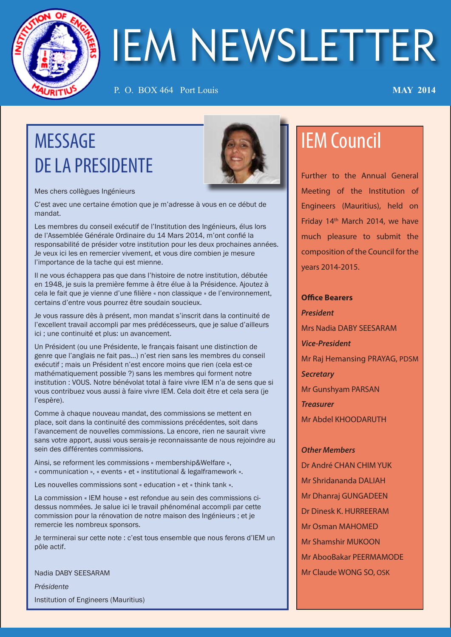

# IEM NEWSLETTER

P. O. BOX 464 Port Louis **MAY 2014**

# MESSAGE DE LA PRESIDENTE



Mes chers collègues Ingénieurs

C'est avec une certaine émotion que je m'adresse à vous en ce début de mandat.

Les membres du conseil exécutif de l'Institution des Ingénieurs, élus lors de l'Assemblée Générale Ordinaire du 14 Mars 2014, m'ont confié la responsabilité de présider votre institution pour les deux prochaines années. Je veux ici les en remercier vivement, et vous dire combien je mesure l'importance de la tache qui est mienne.

Il ne vous échappera pas que dans l'histoire de notre institution, débutée en 1948, je suis la première femme à être élue à la Présidence. Ajoutez à cela le fait que je vienne d'une filière « non classique » de l'environnement, certains d'entre vous pourrez être soudain soucieux.

Je vous rassure dès à présent, mon mandat s'inscrit dans la continuité de l'excellent travail accompli par mes prédécesseurs, que je salue d'ailleurs ici ; une continuité et plus: un avancement.

Un Président (ou une Présidente, le français faisant une distinction de genre que l'anglais ne fait pas...) n'est rien sans les membres du conseil exécutif ; mais un Président n'est encore moins que rien (cela est-ce mathématiquement possible ?) sans les membres qui forment notre institution : VOUS. Notre bénévolat total à faire vivre IEM n'a de sens que si vous contribuez vous aussi à faire vivre IEM. Cela doit être et cela sera (je l'espère).

Comme à chaque nouveau mandat, des commissions se mettent en place, soit dans la continuité des commissions précédentes, soit dans l'avancement de nouvelles commissions. La encore, rien ne saurait vivre sans votre apport, aussi vous serais-je reconnaissante de nous rejoindre au sein des différentes commissions.

Ainsi, se reforment les commissions « membership&Welfare », « communication », « events » et « institutional & legalframework ».

Les nouvelles commissions sont « education » et « think tank ».

La commission « IEM house » est refondue au sein des commissions cidessus nommées. Je salue ici le travail phénoménal accompli par cette commission pour la rénovation de notre maison des Ingénieurs ; et je remercie les nombreux sponsors.

Je terminerai sur cette note : c'est tous ensemble que nous ferons d'IEM un pôle actif.

Nadia DABY SEESARAM *Présidente*

Institution of Engineers (Mauritius)

# IEM Council

Further to the Annual General Meeting of the Institution of Engineers (Mauritius), held on Friday 14th March 2014, we have much pleasure to submit the composition of the Council for the years 2014-2015.

**Office Bearers** *President* Mrs Nadia DABY SEESARAM *Vice-President* Mr Raj Hemansing PRAYAG, PDSM *Secretary* Mr Gunshyam PARSAN *Treasurer* Mr Abdel KHOODARUTH

*Other Members*

Dr André CHAN CHIM YUK Mr Shridananda DALIAH Mr Dhanraj GUNGADEEN Dr Dinesk K. HURREERAM Mr Osman MAHOMED Mr Shamshir MUKOON Mr AbooBakar PEERMAMODE Mr Claude WONG SO, OSK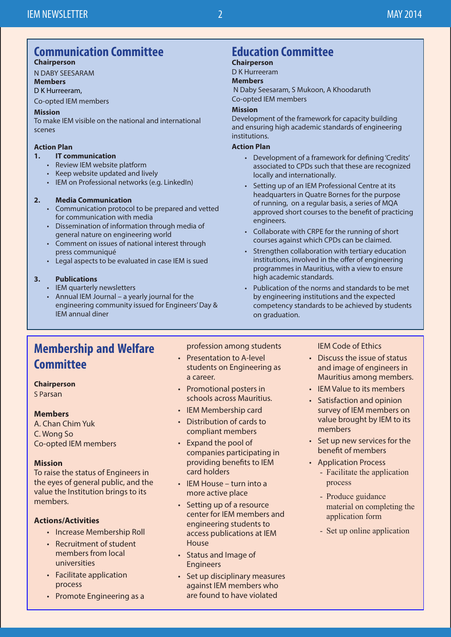#### **Communication Committee Chairperson**

N DABY SEESARAM

#### **Members**

#### D K Hurreeram,

Co-opted IEM members

#### **Mission**

To make IEM visible on the national and international scenes

#### **Action Plan**

- **1. IT communication**
	- Review IEM website platform
	- Keep website updated and lively
	- IEM on Professional networks (e.g. LinkedIn)

#### **2. Media Communication**

- Communication protocol to be prepared and vetted for communication with media
- Dissemination of information through media of general nature on engineering world
- Comment on issues of national interest through press communiqué
- Legal aspects to be evaluated in case IEM is sued

#### **3. Publications**

- IEM quarterly newsletters
- Annual IEM Journal a yearly journal for the engineering community issued for Engineers' Day & IEM annual diner

# **Education Committee**

#### **Chairperson** D K Hurreeram

#### **Members**

 N Daby Seesaram, S Mukoon, A Khoodaruth Co-opted IEM members

#### **Mission**

Development of the framework for capacity building and ensuring high academic standards of engineering institutions.

#### **Action Plan**

- Development of a framework for defining 'Credits' associated to CPDs such that these are recognized locally and internationally.
- Setting up of an IEM Professional Centre at its headquarters in Quatre Bornes for the purpose of running, on a regular basis, a series of MQA approved short courses to the benefit of practicing engineers.
- Collaborate with CRPE for the running of short courses against which CPDs can be claimed.
- Strengthen collaboration with tertiary education institutions, involved in the offer of engineering programmes in Mauritius, with a view to ensure high academic standards.
- Publication of the norms and standards to be met by engineering institutions and the expected competency standards to be achieved by students on graduation.

# **Membership and Welfare Committee**

#### **Chairperson**

S Parsan

#### **Members**

A. Chan Chim Yuk C. Wong So Co-opted IEM members

#### **Mission**

To raise the status of Engineers in the eyes of general public, and the value the Institution brings to its members.

#### **Actions/Activities**

- Increase Membership Roll
- Recruitment of student members from local universities
- Facilitate application process
- Promote Engineering as a

profession among students

- Presentation to A-level students on Engineering as a career.
- Promotional posters in schools across Mauritius.
- IEM Membership card
- Distribution of cards to compliant members
- Expand the pool of companies participating in providing benefits to IEM card holders
- IEM House turn into a more active place
- Setting up of a resource center for IEM members and engineering students to access publications at IEM House
- Status and Image of Engineers
- Set up disciplinary measures against IEM members who are found to have violated

IEM Code of Ethics

- Discuss the issue of status and image of engineers in Mauritius among members.
- IEM Value to its members
- Satisfaction and opinion survey of IEM members on value brought by IEM to its members
- Set up new services for the benefit of members
- Application Process
	- Facilitate the application process
	- Produce guidance material on completing the application form
	- Set up online application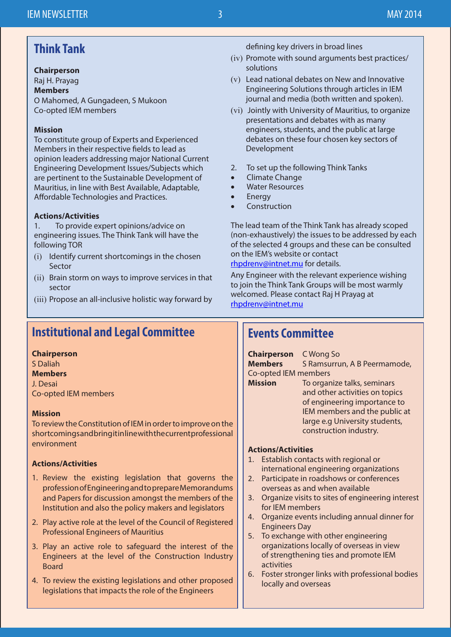# **Think Tank**

#### **Chairperson**

Raj H. Prayag **Members** O Mahomed, A Gungadeen, S Mukoon Co-opted IEM members

#### **Mission**

To constitute group of Experts and Experienced Members in their respective fields to lead as opinion leaders addressing major National Current Engineering Development Issues/Subjects which are pertinent to the Sustainable Development of Mauritius, in line with Best Available, Adaptable, Affordable Technologies and Practices.

#### **Actions/Activities**

1. To provide expert opinions/advice on engineering issues. The Think Tank will have the following TOR

- (i) Identify current shortcomings in the chosen Sector
- (ii) Brain storm on ways to improve services in that sector
- (iii) Propose an all-inclusive holistic way forward by

## **Institutional and Legal Committee**

#### **Chairperson**

S Daliah **Members** J. Desai Co-opted IEM members

#### **Mission**

To review the Constitution of IEM in order to improve on the shortcomings and bring it in line with the current professional environment

#### **Actions/Activities**

- 1. Review the existing legislation that governs the profession of Engineering and to prepare Memorandums and Papers for discussion amongst the members of the Institution and also the policy makers and legislators
- 2. Play active role at the level of the Council of Registered Professional Engineers of Mauritius
- 3. Play an active role to safeguard the interest of the Engineers at the level of the Construction Industry Board
- 4. To review the existing legislations and other proposed legislations that impacts the role of the Engineers

defining key drivers in broad lines

- (iv) Promote with sound arguments best practices/ solutions
- (v) Lead national debates on New and Innovative Engineering Solutions through articles in IEM journal and media (both written and spoken).
- (vi) Jointly with University of Mauritius, to organize presentations and debates with as many engineers, students, and the public at large debates on these four chosen key sectors of Development
- 2. To set up the following Think Tanks
- • Climate Change
- **Water Resources**
- **Energy**
- Construction

The lead team of the Think Tank has already scoped (non-exhaustively) the issues to be addressed by each of the selected 4 groups and these can be consulted on the IEM's website or contact rhpdrenv@intnet.mu for details.

Any Engineer with the relevant experience wishing to join the Think Tank Groups will be most warmly welcomed. Please contact Raj H Prayag at rhpdrenv@intnet.mu

### **Events Committee**

**Chairperson** C Wong So **Members** S Ramsurrun, A B Peermamode, Co-opted IEM members **Mission** To organize talks, seminars and other activities on topics of engineering importance to IEM members and the public at large e.g University students,

construction industry.

**Actions/Activities**

- 1. Establish contacts with regional or international engineering organizations
- 2. Participate in roadshows or conferences overseas as and when available
- 3. Organize visits to sites of engineering interest for IEM members
- 4. Organize events including annual dinner for Engineers Day
- 5. To exchange with other engineering organizations locally of overseas in view of strengthening ties and promote IEM activities
- 6. Foster stronger links with professional bodies locally and overseas